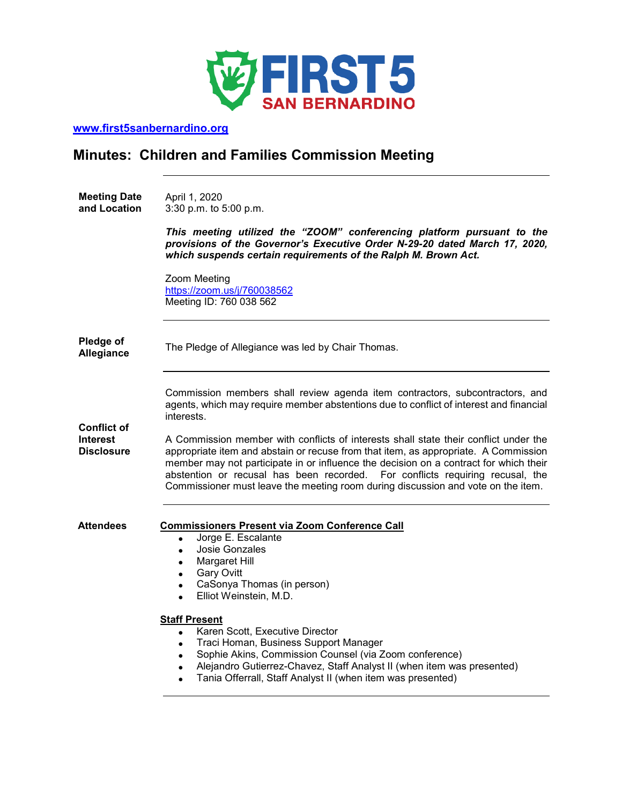

**[www.first5sanbernardino.org](http://www.first5sanbernardino.org/)**

# **Minutes: Children and Families Commission Meeting**

**Meeting Date and Location**  April 1, 2020 3:30 p.m. to 5:00 p.m.

> *This meeting utilized the "ZOOM" conferencing platform pursuant to the provisions of the Governor's Executive Order N-29-20 dated March 17, 2020, which suspends certain requirements of the Ralph M. Brown Act.*

Zoom Meeting <https://zoom.us/j/760038562> Meeting ID: 760 038 562

| Pledge of<br>Allegiance                             | The Pledge of Allegiance was led by Chair Thomas.                                                                                                                                                                                                                                                                                                                                                                                                                                                                                                                                                                                 |
|-----------------------------------------------------|-----------------------------------------------------------------------------------------------------------------------------------------------------------------------------------------------------------------------------------------------------------------------------------------------------------------------------------------------------------------------------------------------------------------------------------------------------------------------------------------------------------------------------------------------------------------------------------------------------------------------------------|
| Conflict of<br><b>Interest</b><br><b>Disclosure</b> | Commission members shall review agenda item contractors, subcontractors, and<br>agents, which may require member abstentions due to conflict of interest and financial<br>interests.<br>A Commission member with conflicts of interests shall state their conflict under the<br>appropriate item and abstain or recuse from that item, as appropriate. A Commission<br>member may not participate in or influence the decision on a contract for which their<br>abstention or recusal has been recorded. For conflicts requiring recusal, the<br>Commissioner must leave the meeting room during discussion and vote on the item. |
| <b>Attendees</b>                                    | <b>Commissioners Present via Zoom Conference Call</b><br>Jorge E. Escalante<br>$\bullet$<br>Josie Gonzales<br>Margaret Hill<br><b>Gary Ovitt</b><br>CaSonya Thomas (in person)<br>Elliot Weinstein, M.D.<br>$\bullet$                                                                                                                                                                                                                                                                                                                                                                                                             |
|                                                     | <b>Staff Present</b><br>Karen Scott, Executive Director<br>$\bullet$<br>Traci Homan, Business Support Manager<br>$\bullet$<br>Sophie Akins, Commission Counsel (via Zoom conference)<br>Alejandro Gutierrez-Chavez, Staff Analyst II (when item was presented)<br>$\bullet$<br>Tania Offerrall, Staff Analyst II (when item was presented)                                                                                                                                                                                                                                                                                        |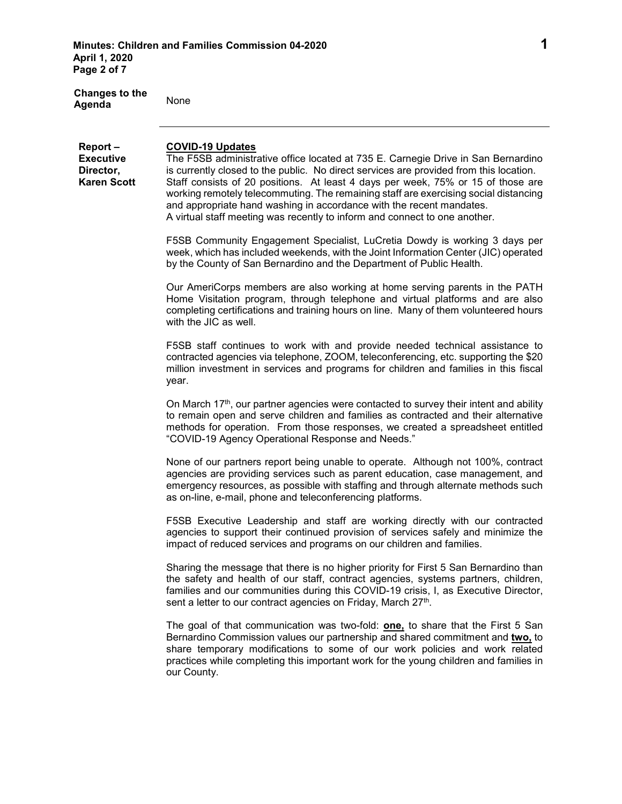| <b>Changes to the</b><br>Agenda                                | None                                                                                                                                                                                                                                                                                                                                                                                                                                                                                                                                     |
|----------------------------------------------------------------|------------------------------------------------------------------------------------------------------------------------------------------------------------------------------------------------------------------------------------------------------------------------------------------------------------------------------------------------------------------------------------------------------------------------------------------------------------------------------------------------------------------------------------------|
| Report-<br><b>Executive</b><br>Director,<br><b>Karen Scott</b> | <b>COVID-19 Updates</b><br>The F5SB administrative office located at 735 E. Carnegie Drive in San Bernardino<br>is currently closed to the public. No direct services are provided from this location.<br>Staff consists of 20 positions. At least 4 days per week, 75% or 15 of those are<br>working remotely telecommuting. The remaining staff are exercising social distancing<br>and appropriate hand washing in accordance with the recent mandates.<br>A virtual staff meeting was recently to inform and connect to one another. |
|                                                                | F5SB Community Engagement Specialist, LuCretia Dowdy is working 3 days per<br>week, which has included weekends, with the Joint Information Center (JIC) operated<br>by the County of San Bernardino and the Department of Public Health.                                                                                                                                                                                                                                                                                                |
|                                                                | Our AmeriCorps members are also working at home serving parents in the PATH<br>Home Visitation program, through telephone and virtual platforms and are also<br>completing certifications and training hours on line. Many of them volunteered hours<br>with the JIC as well.                                                                                                                                                                                                                                                            |
|                                                                | F5SB staff continues to work with and provide needed technical assistance to<br>contracted agencies via telephone, ZOOM, teleconferencing, etc. supporting the \$20<br>million investment in services and programs for children and families in this fiscal<br>year.                                                                                                                                                                                                                                                                     |
|                                                                | On March 17th, our partner agencies were contacted to survey their intent and ability<br>to remain open and serve children and families as contracted and their alternative<br>methods for operation. From those responses, we created a spreadsheet entitled<br>"COVID-19 Agency Operational Response and Needs."                                                                                                                                                                                                                       |
|                                                                | None of our partners report being unable to operate. Although not 100%, contract<br>agencies are providing services such as parent education, case management, and<br>emergency resources, as possible with staffing and through alternate methods such<br>as on-line, e-mail, phone and teleconferencing platforms.                                                                                                                                                                                                                     |
|                                                                | F5SB Executive Leadership and staff are working directly with our contracted<br>agencies to support their continued provision of services safely and minimize the<br>impact of reduced services and programs on our children and families.                                                                                                                                                                                                                                                                                               |
|                                                                | Sharing the message that there is no higher priority for First 5 San Bernardino than<br>the safety and health of our staff, contract agencies, systems partners, children,<br>families and our communities during this COVID-19 crisis, I, as Executive Director,<br>sent a letter to our contract agencies on Friday, March 27th.                                                                                                                                                                                                       |
|                                                                | The goal of that communication was two-fold: one, to share that the First 5 San<br>Bernardino Commission values our partnership and shared commitment and two, to<br>share temporary modifications to some of our work policies and work related<br>practices while completing this important work for the young children and families in<br>our County.                                                                                                                                                                                 |
|                                                                |                                                                                                                                                                                                                                                                                                                                                                                                                                                                                                                                          |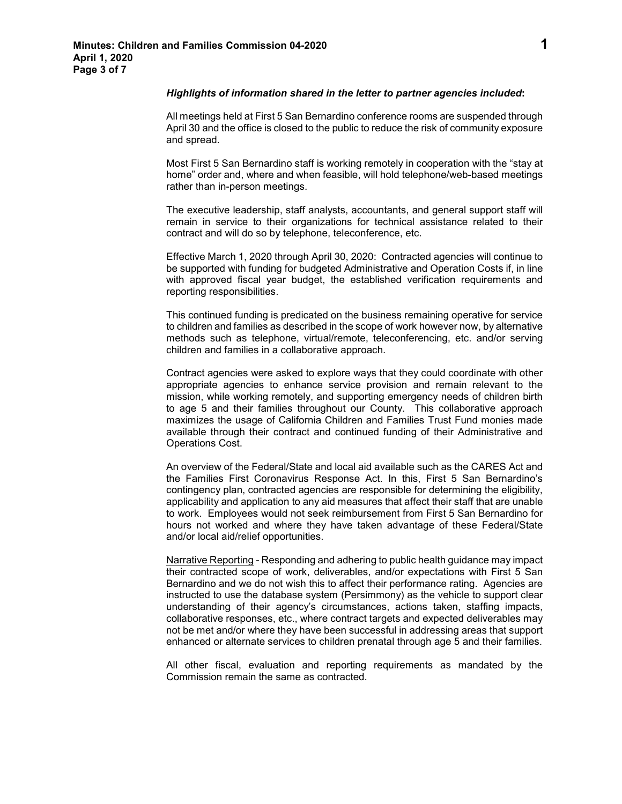#### *Highlights of information shared in the letter to partner agencies included***:**

All meetings held at First 5 San Bernardino conference rooms are suspended through April 30 and the office is closed to the public to reduce the risk of community exposure and spread.

Most First 5 San Bernardino staff is working remotely in cooperation with the "stay at home" order and, where and when feasible, will hold telephone/web-based meetings rather than in-person meetings.

The executive leadership, staff analysts, accountants, and general support staff will remain in service to their organizations for technical assistance related to their contract and will do so by telephone, teleconference, etc.

Effective March 1, 2020 through April 30, 2020: Contracted agencies will continue to be supported with funding for budgeted Administrative and Operation Costs if, in line with approved fiscal year budget, the established verification requirements and reporting responsibilities.

This continued funding is predicated on the business remaining operative for service to children and families as described in the scope of work however now, by alternative methods such as telephone, virtual/remote, teleconferencing, etc. and/or serving children and families in a collaborative approach.

Contract agencies were asked to explore ways that they could coordinate with other appropriate agencies to enhance service provision and remain relevant to the mission, while working remotely, and supporting emergency needs of children birth to age 5 and their families throughout our County. This collaborative approach maximizes the usage of California Children and Families Trust Fund monies made available through their contract and continued funding of their Administrative and Operations Cost.

An overview of the Federal/State and local aid available such as the CARES Act and the Families First Coronavirus Response Act. In this, First 5 San Bernardino's contingency plan, contracted agencies are responsible for determining the eligibility, applicability and application to any aid measures that affect their staff that are unable to work. Employees would not seek reimbursement from First 5 San Bernardino for hours not worked and where they have taken advantage of these Federal/State and/or local aid/relief opportunities.

Narrative Reporting - Responding and adhering to public health guidance may impact their contracted scope of work, deliverables, and/or expectations with First 5 San Bernardino and we do not wish this to affect their performance rating. Agencies are instructed to use the database system (Persimmony) as the vehicle to support clear understanding of their agency's circumstances, actions taken, staffing impacts, collaborative responses, etc., where contract targets and expected deliverables may not be met and/or where they have been successful in addressing areas that support enhanced or alternate services to children prenatal through age 5 and their families.

All other fiscal, evaluation and reporting requirements as mandated by the Commission remain the same as contracted.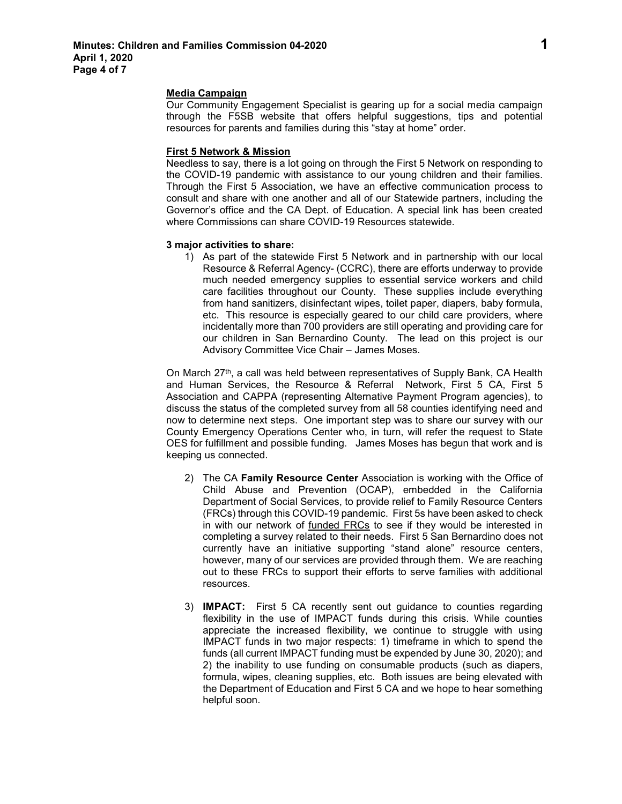#### **Media Campaign**

Our Community Engagement Specialist is gearing up for a social media campaign through the F5SB website that offers helpful suggestions, tips and potential resources for parents and families during this "stay at home" order.

# **First 5 Network & Mission**

Needless to say, there is a lot going on through the First 5 Network on responding to the COVID-19 pandemic with assistance to our young children and their families. Through the First 5 Association, we have an effective communication process to consult and share with one another and all of our Statewide partners, including the Governor's office and the CA Dept. of Education. A special link has been created where Commissions can share COVID-19 Resources statewide.

## **3 major activities to share:**

1) As part of the statewide First 5 Network and in partnership with our local Resource & Referral Agency- (CCRC), there are efforts underway to provide much needed emergency supplies to essential service workers and child care facilities throughout our County. These supplies include everything from hand sanitizers, disinfectant wipes, toilet paper, diapers, baby formula, etc. This resource is especially geared to our child care providers, where incidentally more than 700 providers are still operating and providing care for our children in San Bernardino County. The lead on this project is our Advisory Committee Vice Chair – James Moses.

On March 27<sup>th</sup>, a call was held between representatives of Supply Bank, CA Health and Human Services, the Resource & Referral Network, First 5 CA, First 5 Association and CAPPA (representing Alternative Payment Program agencies), to discuss the status of the completed survey from all 58 counties identifying need and now to determine next steps. One important step was to share our survey with our County Emergency Operations Center who, in turn, will refer the request to State OES for fulfillment and possible funding. James Moses has begun that work and is keeping us connected.

- 2) The CA **Family Resource Center** Association is working with the Office of Child Abuse and Prevention (OCAP), embedded in the California Department of Social Services, to provide relief to Family Resource Centers (FRCs) through this COVID-19 pandemic. First 5s have been asked to check in with our network of funded FRCs to see if they would be interested in completing a survey related to their needs. First 5 San Bernardino does not currently have an initiative supporting "stand alone" resource centers, however, many of our services are provided through them. We are reaching out to these FRCs to support their efforts to serve families with additional resources.
- 3) **IMPACT:** First 5 CA recently sent out guidance to counties regarding flexibility in the use of IMPACT funds during this crisis. While counties appreciate the increased flexibility, we continue to struggle with using IMPACT funds in two major respects: 1) timeframe in which to spend the funds (all current IMPACT funding must be expended by June 30, 2020); and 2) the inability to use funding on consumable products (such as diapers, formula, wipes, cleaning supplies, etc. Both issues are being elevated with the Department of Education and First 5 CA and we hope to hear something helpful soon.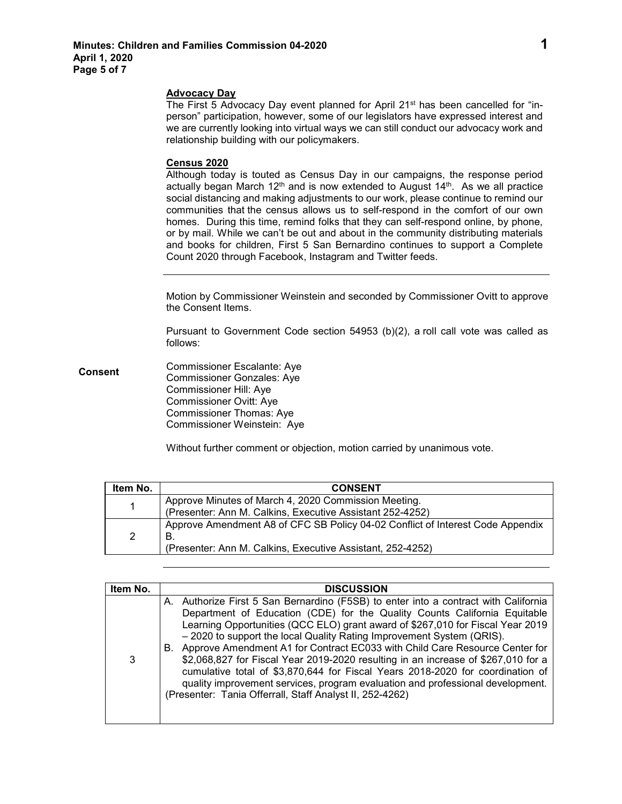## **Advocacy Day**

The First 5 Advocacy Day event planned for April 21st has been cancelled for "inperson" participation, however, some of our legislators have expressed interest and we are currently looking into virtual ways we can still conduct our advocacy work and relationship building with our policymakers.

## **Census 2020**

Although today is touted as Census Day in our campaigns, the response period actually began March  $12<sup>th</sup>$  and is now extended to August  $14<sup>th</sup>$ . As we all practice social distancing and making adjustments to our work, please continue to remind our communities that the census allows us to self-respond in the comfort of our own homes. During this time, remind folks that they can self-respond online, by phone, or by mail. While we can't be out and about in the community distributing materials and books for children, First 5 San Bernardino continues to support a Complete Count 2020 through Facebook, Instagram and Twitter feeds.

Motion by Commissioner Weinstein and seconded by Commissioner Ovitt to approve the Consent Items.

Pursuant to Government Code section 54953 (b)(2), a roll call vote was called as follows:

**Consent** Commissioner Escalante: Aye Commissioner Gonzales: Aye Commissioner Hill: Aye Commissioner Ovitt: Aye Commissioner Thomas: Aye Commissioner Weinstein: Aye

Without further comment or objection, motion carried by unanimous vote.

| Item No. | <b>CONSENT</b>                                                                 |
|----------|--------------------------------------------------------------------------------|
| 1        | Approve Minutes of March 4, 2020 Commission Meeting.                           |
|          | (Presenter: Ann M. Calkins, Executive Assistant 252-4252)                      |
| 2        | Approve Amendment A8 of CFC SB Policy 04-02 Conflict of Interest Code Appendix |
|          | В.                                                                             |
|          | (Presenter: Ann M. Calkins, Executive Assistant, 252-4252)                     |

| Item No. | <b>DISCUSSION</b>                                                                                                                                                                                                                                                                                                                                                                                                                                                                                                                                                                                                                                                                                                                  |
|----------|------------------------------------------------------------------------------------------------------------------------------------------------------------------------------------------------------------------------------------------------------------------------------------------------------------------------------------------------------------------------------------------------------------------------------------------------------------------------------------------------------------------------------------------------------------------------------------------------------------------------------------------------------------------------------------------------------------------------------------|
| 3        | A. Authorize First 5 San Bernardino (F5SB) to enter into a contract with California<br>Department of Education (CDE) for the Quality Counts California Equitable<br>Learning Opportunities (QCC ELO) grant award of \$267,010 for Fiscal Year 2019<br>- 2020 to support the local Quality Rating Improvement System (QRIS).<br>B. Approve Amendment A1 for Contract EC033 with Child Care Resource Center for<br>\$2,068,827 for Fiscal Year 2019-2020 resulting in an increase of \$267,010 for a<br>cumulative total of \$3,870,644 for Fiscal Years 2018-2020 for coordination of<br>quality improvement services, program evaluation and professional development.<br>(Presenter: Tania Offerrall, Staff Analyst II, 252-4262) |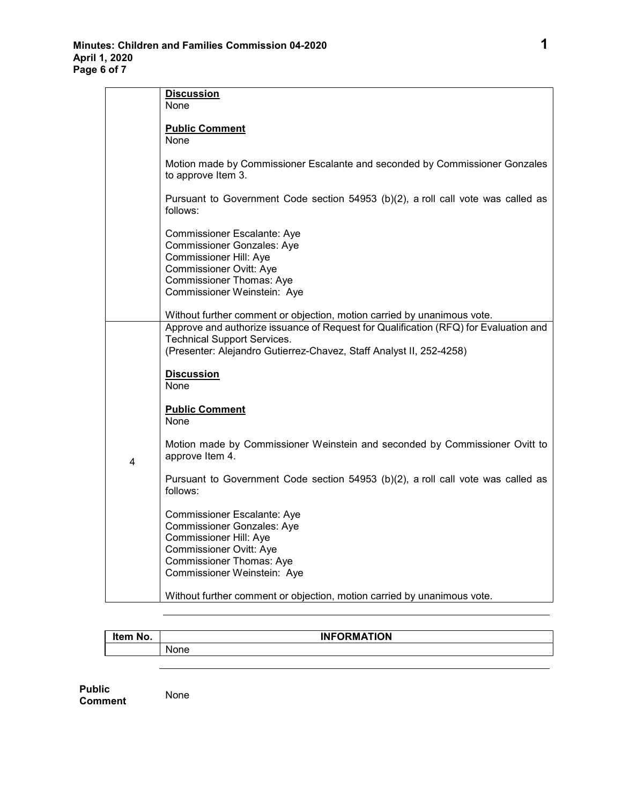|   | <b>Discussion</b>                                                                                                                                                                                                                                                            |
|---|------------------------------------------------------------------------------------------------------------------------------------------------------------------------------------------------------------------------------------------------------------------------------|
|   | None                                                                                                                                                                                                                                                                         |
|   |                                                                                                                                                                                                                                                                              |
|   | <b>Public Comment</b>                                                                                                                                                                                                                                                        |
|   | None                                                                                                                                                                                                                                                                         |
|   | Motion made by Commissioner Escalante and seconded by Commissioner Gonzales<br>to approve Item 3.                                                                                                                                                                            |
|   | Pursuant to Government Code section 54953 (b)(2), a roll call vote was called as<br>follows:                                                                                                                                                                                 |
|   | Commissioner Escalante: Aye<br><b>Commissioner Gonzales: Aye</b><br><b>Commissioner Hill: Aye</b><br>Commissioner Ovitt: Aye<br>Commissioner Thomas: Aye<br>Commissioner Weinstein: Aye                                                                                      |
|   |                                                                                                                                                                                                                                                                              |
| 4 | Without further comment or objection, motion carried by unanimous vote.<br>Approve and authorize issuance of Request for Qualification (RFQ) for Evaluation and<br><b>Technical Support Services.</b><br>(Presenter: Alejandro Gutierrez-Chavez, Staff Analyst II, 252-4258) |
|   | <b>Discussion</b><br>None                                                                                                                                                                                                                                                    |
|   | <b>Public Comment</b><br>None                                                                                                                                                                                                                                                |
|   | Motion made by Commissioner Weinstein and seconded by Commissioner Ovitt to<br>approve Item 4.                                                                                                                                                                               |
|   | Pursuant to Government Code section 54953 (b)(2), a roll call vote was called as<br>follows:                                                                                                                                                                                 |
|   | Commissioner Escalante: Aye<br><b>Commissioner Gonzales: Aye</b><br>Commissioner Hill: Aye<br><b>Commissioner Ovitt: Aye</b><br><b>Commissioner Thomas: Aye</b><br>Commissioner Weinstein: Aye                                                                               |
|   | Without further comment or objection, motion carried by unanimous vote.                                                                                                                                                                                                      |

| Item No. | <b>INFORMATION</b> |
|----------|--------------------|
|          | None               |

**Public Comment** None

٦